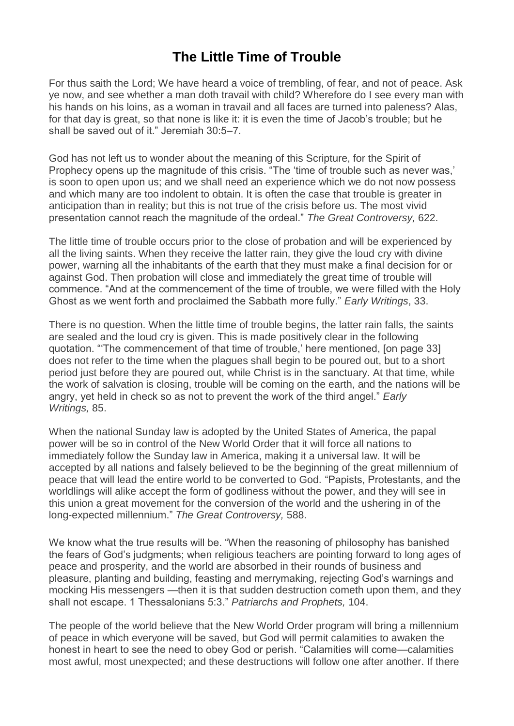## **The Little Time of Trouble**

For thus saith the Lord; We have heard a voice of trembling, of fear, and not of peace. Ask ye now, and see whether a man doth travail with child? Wherefore do I see every man with his hands on his loins, as a woman in travail and all faces are turned into paleness? Alas, for that day is great, so that none is like it: it is even the time of Jacob's trouble; but he shall be saved out of it." Jeremiah 30:5–7.

God has not left us to wonder about the meaning of this Scripture, for the Spirit of Prophecy opens up the magnitude of this crisis. "The 'time of trouble such as never was,' is soon to open upon us; and we shall need an experience which we do not now possess and which many are too indolent to obtain. It is often the case that trouble is greater in anticipation than in reality; but this is not true of the crisis before us. The most vivid presentation cannot reach the magnitude of the ordeal." *The Great Controversy,* 622.

The little time of trouble occurs prior to the close of probation and will be experienced by all the living saints. When they receive the latter rain, they give the loud cry with divine power, warning all the inhabitants of the earth that they must make a final decision for or against God. Then probation will close and immediately the great time of trouble will commence. "And at the commencement of the time of trouble, we were filled with the Holy Ghost as we went forth and proclaimed the Sabbath more fully." *Early Writings*, 33.

There is no question. When the little time of trouble begins, the latter rain falls, the saints are sealed and the loud cry is given. This is made positively clear in the following quotation. "'The commencement of that time of trouble,' here mentioned, [on page 33] does not refer to the time when the plagues shall begin to be poured out, but to a short period just before they are poured out, while Christ is in the sanctuary. At that time, while the work of salvation is closing, trouble will be coming on the earth, and the nations will be angry, yet held in check so as not to prevent the work of the third angel." *Early Writings,* 85.

When the national Sunday law is adopted by the United States of America, the papal power will be so in control of the New World Order that it will force all nations to immediately follow the Sunday law in America, making it a universal law. It will be accepted by all nations and falsely believed to be the beginning of the great millennium of peace that will lead the entire world to be converted to God. "Papists, Protestants, and the worldlings will alike accept the form of godliness without the power, and they will see in this union a great movement for the conversion of the world and the ushering in of the long-expected millennium." *The Great Controversy,* 588.

We know what the true results will be. "When the reasoning of philosophy has banished the fears of God's judgments; when religious teachers are pointing forward to long ages of peace and prosperity, and the world are absorbed in their rounds of business and pleasure, planting and building, feasting and merrymaking, rejecting God's warnings and mocking His messengers —then it is that sudden destruction cometh upon them, and they shall not escape. 1 Thessalonians 5:3." *Patriarchs and Prophets,* 104.

The people of the world believe that the New World Order program will bring a millennium of peace in which everyone will be saved, but God will permit calamities to awaken the honest in heart to see the need to obey God or perish. "Calamities will come—calamities most awful, most unexpected; and these destructions will follow one after another. If there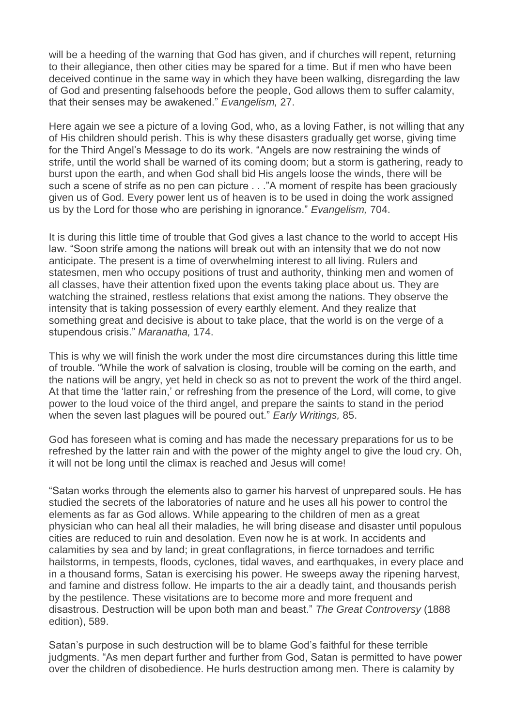will be a heeding of the warning that God has given, and if churches will repent, returning to their allegiance, then other cities may be spared for a time. But if men who have been deceived continue in the same way in which they have been walking, disregarding the law of God and presenting falsehoods before the people, God allows them to suffer calamity, that their senses may be awakened." *Evangelism,* 27.

Here again we see a picture of a loving God, who, as a loving Father, is not willing that any of His children should perish. This is why these disasters gradually get worse, giving time for the Third Angel's Message to do its work. "Angels are now restraining the winds of strife, until the world shall be warned of its coming doom; but a storm is gathering, ready to burst upon the earth, and when God shall bid His angels loose the winds, there will be such a scene of strife as no pen can picture . . ."A moment of respite has been graciously given us of God. Every power lent us of heaven is to be used in doing the work assigned us by the Lord for those who are perishing in ignorance." *Evangelism,* 704.

It is during this little time of trouble that God gives a last chance to the world to accept His law. "Soon strife among the nations will break out with an intensity that we do not now anticipate. The present is a time of overwhelming interest to all living. Rulers and statesmen, men who occupy positions of trust and authority, thinking men and women of all classes, have their attention fixed upon the events taking place about us. They are watching the strained, restless relations that exist among the nations. They observe the intensity that is taking possession of every earthly element. And they realize that something great and decisive is about to take place, that the world is on the verge of a stupendous crisis." *Maranatha,* 174.

This is why we will finish the work under the most dire circumstances during this little time of trouble. "While the work of salvation is closing, trouble will be coming on the earth, and the nations will be angry, yet held in check so as not to prevent the work of the third angel. At that time the 'latter rain,' or refreshing from the presence of the Lord, will come, to give power to the loud voice of the third angel, and prepare the saints to stand in the period when the seven last plagues will be poured out." *Early Writings,* 85.

God has foreseen what is coming and has made the necessary preparations for us to be refreshed by the latter rain and with the power of the mighty angel to give the loud cry. Oh, it will not be long until the climax is reached and Jesus will come!

"Satan works through the elements also to garner his harvest of unprepared souls. He has studied the secrets of the laboratories of nature and he uses all his power to control the elements as far as God allows. While appearing to the children of men as a great physician who can heal all their maladies, he will bring disease and disaster until populous cities are reduced to ruin and desolation. Even now he is at work. In accidents and calamities by sea and by land; in great conflagrations, in fierce tornadoes and terrific hailstorms, in tempests, floods, cyclones, tidal waves, and earthquakes, in every place and in a thousand forms, Satan is exercising his power. He sweeps away the ripening harvest, and famine and distress follow. He imparts to the air a deadly taint, and thousands perish by the pestilence. These visitations are to become more and more frequent and disastrous. Destruction will be upon both man and beast." *The Great Controversy* (1888 edition), 589.

Satan's purpose in such destruction will be to blame God's faithful for these terrible judgments. "As men depart further and further from God, Satan is permitted to have power over the children of disobedience. He hurls destruction among men. There is calamity by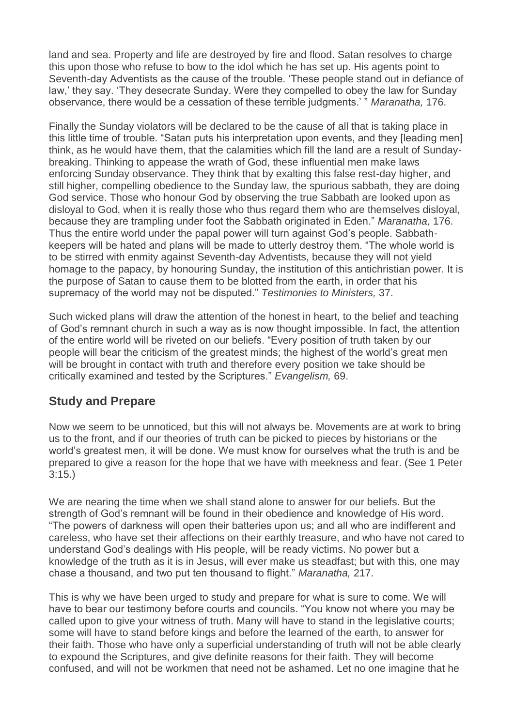land and sea. Property and life are destroyed by fire and flood. Satan resolves to charge this upon those who refuse to bow to the idol which he has set up. His agents point to Seventh-day Adventists as the cause of the trouble. 'These people stand out in defiance of law,' they say. 'They desecrate Sunday. Were they compelled to obey the law for Sunday observance, there would be a cessation of these terrible judgments.' " *Maranatha,* 176.

Finally the Sunday violators will be declared to be the cause of all that is taking place in this little time of trouble. "Satan puts his interpretation upon events, and they [leading men] think, as he would have them, that the calamities which fill the land are a result of Sundaybreaking. Thinking to appease the wrath of God, these influential men make laws enforcing Sunday observance. They think that by exalting this false rest-day higher, and still higher, compelling obedience to the Sunday law, the spurious sabbath, they are doing God service. Those who honour God by observing the true Sabbath are looked upon as disloyal to God, when it is really those who thus regard them who are themselves disloyal, because they are trampling under foot the Sabbath originated in Eden." *Maranatha,* 176. Thus the entire world under the papal power will turn against God's people. Sabbathkeepers will be hated and plans will be made to utterly destroy them. "The whole world is to be stirred with enmity against Seventh-day Adventists, because they will not yield homage to the papacy, by honouring Sunday, the institution of this antichristian power. It is the purpose of Satan to cause them to be blotted from the earth, in order that his supremacy of the world may not be disputed." *Testimonies to Ministers,* 37.

Such wicked plans will draw the attention of the honest in heart, to the belief and teaching of God's remnant church in such a way as is now thought impossible. In fact, the attention of the entire world will be riveted on our beliefs. "Every position of truth taken by our people will bear the criticism of the greatest minds; the highest of the world's great men will be brought in contact with truth and therefore every position we take should be critically examined and tested by the Scriptures." *Evangelism,* 69.

## **Study and Prepare**

Now we seem to be unnoticed, but this will not always be. Movements are at work to bring us to the front, and if our theories of truth can be picked to pieces by historians or the world's greatest men, it will be done. We must know for ourselves what the truth is and be prepared to give a reason for the hope that we have with meekness and fear. (See 1 Peter 3:15.)

We are nearing the time when we shall stand alone to answer for our beliefs. But the strength of God's remnant will be found in their obedience and knowledge of His word. "The powers of darkness will open their batteries upon us; and all who are indifferent and careless, who have set their affections on their earthly treasure, and who have not cared to understand God's dealings with His people, will be ready victims. No power but a knowledge of the truth as it is in Jesus, will ever make us steadfast; but with this, one may chase a thousand, and two put ten thousand to flight." *Maranatha,* 217.

This is why we have been urged to study and prepare for what is sure to come. We will have to bear our testimony before courts and councils. "You know not where you may be called upon to give your witness of truth. Many will have to stand in the legislative courts; some will have to stand before kings and before the learned of the earth, to answer for their faith. Those who have only a superficial understanding of truth will not be able clearly to expound the Scriptures, and give definite reasons for their faith. They will become confused, and will not be workmen that need not be ashamed. Let no one imagine that he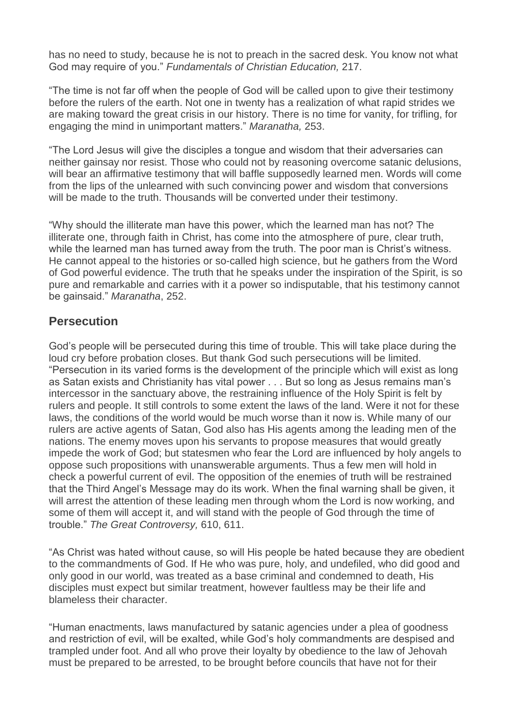has no need to study, because he is not to preach in the sacred desk. You know not what God may require of you." *Fundamentals of Christian Education,* 217.

"The time is not far off when the people of God will be called upon to give their testimony before the rulers of the earth. Not one in twenty has a realization of what rapid strides we are making toward the great crisis in our history. There is no time for vanity, for trifling, for engaging the mind in unimportant matters." *Maranatha,* 253.

"The Lord Jesus will give the disciples a tongue and wisdom that their adversaries can neither gainsay nor resist. Those who could not by reasoning overcome satanic delusions, will bear an affirmative testimony that will baffle supposedly learned men. Words will come from the lips of the unlearned with such convincing power and wisdom that conversions will be made to the truth. Thousands will be converted under their testimony.

"Why should the illiterate man have this power, which the learned man has not? The illiterate one, through faith in Christ, has come into the atmosphere of pure, clear truth, while the learned man has turned away from the truth. The poor man is Christ's witness. He cannot appeal to the histories or so-called high science, but he gathers from the Word of God powerful evidence. The truth that he speaks under the inspiration of the Spirit, is so pure and remarkable and carries with it a power so indisputable, that his testimony cannot be gainsaid." *Maranatha*, 252.

## **Persecution**

God's people will be persecuted during this time of trouble. This will take place during the loud cry before probation closes. But thank God such persecutions will be limited. "Persecution in its varied forms is the development of the principle which will exist as long as Satan exists and Christianity has vital power . . . But so long as Jesus remains man's intercessor in the sanctuary above, the restraining influence of the Holy Spirit is felt by rulers and people. It still controls to some extent the laws of the land. Were it not for these laws, the conditions of the world would be much worse than it now is. While many of our rulers are active agents of Satan, God also has His agents among the leading men of the nations. The enemy moves upon his servants to propose measures that would greatly impede the work of God; but statesmen who fear the Lord are influenced by holy angels to oppose such propositions with unanswerable arguments. Thus a few men will hold in check a powerful current of evil. The opposition of the enemies of truth will be restrained that the Third Angel's Message may do its work. When the final warning shall be given, it will arrest the attention of these leading men through whom the Lord is now working, and some of them will accept it, and will stand with the people of God through the time of trouble." *The Great Controversy,* 610, 611.

"As Christ was hated without cause, so will His people be hated because they are obedient to the commandments of God. If He who was pure, holy, and undefiled, who did good and only good in our world, was treated as a base criminal and condemned to death, His disciples must expect but similar treatment, however faultless may be their life and blameless their character.

"Human enactments, laws manufactured by satanic agencies under a plea of goodness and restriction of evil, will be exalted, while God's holy commandments are despised and trampled under foot. And all who prove their loyalty by obedience to the law of Jehovah must be prepared to be arrested, to be brought before councils that have not for their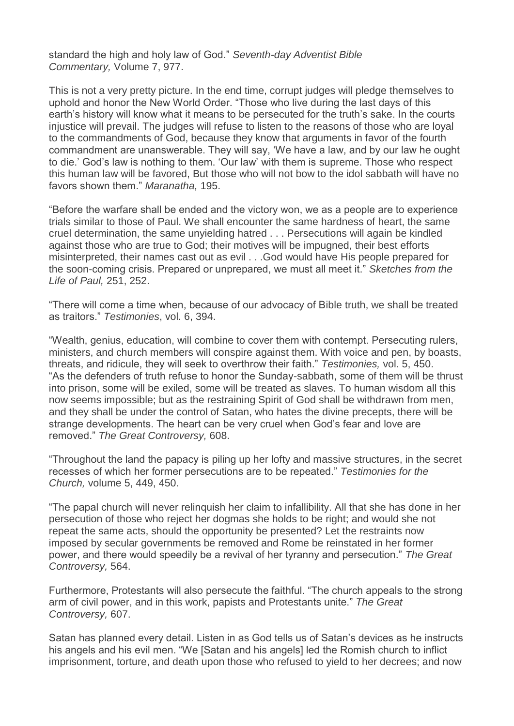standard the high and holy law of God." *Seventh-day Adventist Bible Commentary,* Volume 7, 977.

This is not a very pretty picture. In the end time, corrupt judges will pledge themselves to uphold and honor the New World Order. "Those who live during the last days of this earth's history will know what it means to be persecuted for the truth's sake. In the courts injustice will prevail. The judges will refuse to listen to the reasons of those who are loyal to the commandments of God, because they know that arguments in favor of the fourth commandment are unanswerable. They will say, 'We have a law, and by our law he ought to die.' God's law is nothing to them. 'Our law' with them is supreme. Those who respect this human law will be favored, But those who will not bow to the idol sabbath will have no favors shown them." *Maranatha,* 195.

"Before the warfare shall be ended and the victory won, we as a people are to experience trials similar to those of Paul. We shall encounter the same hardness of heart, the same cruel determination, the same unyielding hatred . . . Persecutions will again be kindled against those who are true to God; their motives will be impugned, their best efforts misinterpreted, their names cast out as evil . . .God would have His people prepared for the soon-coming crisis. Prepared or unprepared, we must all meet it." *Sketches from the Life of Paul,* 251, 252.

"There will come a time when, because of our advocacy of Bible truth, we shall be treated as traitors." *Testimonies*, vol. 6, 394.

"Wealth, genius, education, will combine to cover them with contempt. Persecuting rulers, ministers, and church members will conspire against them. With voice and pen, by boasts, threats, and ridicule, they will seek to overthrow their faith." *Testimonies,* vol. 5, 450. "As the defenders of truth refuse to honor the Sunday-sabbath, some of them will be thrust into prison, some will be exiled, some will be treated as slaves. To human wisdom all this now seems impossible; but as the restraining Spirit of God shall be withdrawn from men, and they shall be under the control of Satan, who hates the divine precepts, there will be strange developments. The heart can be very cruel when God's fear and love are removed." *The Great Controversy,* 608.

"Throughout the land the papacy is piling up her lofty and massive structures, in the secret recesses of which her former persecutions are to be repeated." *Testimonies for the Church,* volume 5, 449, 450.

"The papal church will never relinquish her claim to infallibility. All that she has done in her persecution of those who reject her dogmas she holds to be right; and would she not repeat the same acts, should the opportunity be presented? Let the restraints now imposed by secular governments be removed and Rome be reinstated in her former power, and there would speedily be a revival of her tyranny and persecution." *The Great Controversy,* 564.

Furthermore, Protestants will also persecute the faithful. "The church appeals to the strong arm of civil power, and in this work, papists and Protestants unite." *The Great Controversy,* 607.

Satan has planned every detail. Listen in as God tells us of Satan's devices as he instructs his angels and his evil men. "We [Satan and his angels] led the Romish church to inflict imprisonment, torture, and death upon those who refused to yield to her decrees; and now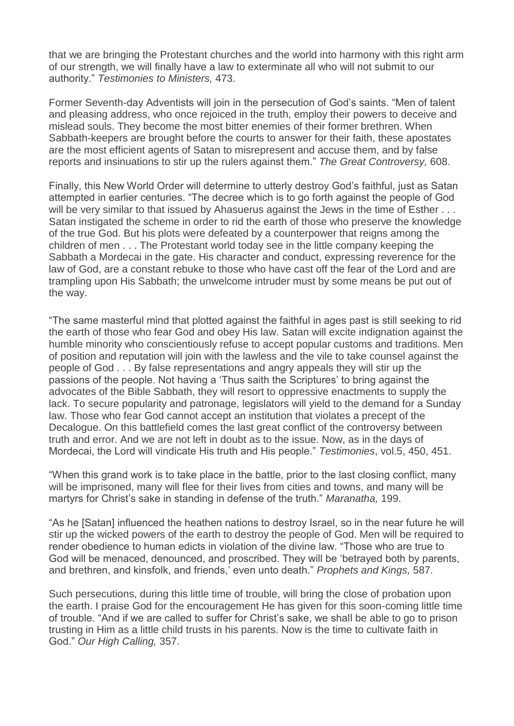that we are bringing the Protestant churches and the world into harmony with this right arm of our strength, we will finally have a law to exterminate all who will not submit to our authority." *Testimonies to Ministers,* 473.

Former Seventh-day Adventists will join in the persecution of God's saints. "Men of talent and pleasing address, who once rejoiced in the truth, employ their powers to deceive and mislead souls. They become the most bitter enemies of their former brethren. When Sabbath-keepers are brought before the courts to answer for their faith, these apostates are the most efficient agents of Satan to misrepresent and accuse them, and by false reports and insinuations to stir up the rulers against them." *The Great Controversy,* 608.

Finally, this New World Order will determine to utterly destroy God's faithful, just as Satan attempted in earlier centuries. "The decree which is to go forth against the people of God will be very similar to that issued by Ahasuerus against the Jews in the time of Esther . . . Satan instigated the scheme in order to rid the earth of those who preserve the knowledge of the true God. But his plots were defeated by a counterpower that reigns among the children of men . . . The Protestant world today see in the little company keeping the Sabbath a Mordecai in the gate. His character and conduct, expressing reverence for the law of God, are a constant rebuke to those who have cast off the fear of the Lord and are trampling upon His Sabbath; the unwelcome intruder must by some means be put out of the way.

"The same masterful mind that plotted against the faithful in ages past is still seeking to rid the earth of those who fear God and obey His law. Satan will excite indignation against the humble minority who conscientiously refuse to accept popular customs and traditions. Men of position and reputation will join with the lawless and the vile to take counsel against the people of God . . . By false representations and angry appeals they will stir up the passions of the people. Not having a 'Thus saith the Scriptures' to bring against the advocates of the Bible Sabbath, they will resort to oppressive enactments to supply the lack. To secure popularity and patronage, legislators will yield to the demand for a Sunday law. Those who fear God cannot accept an institution that violates a precept of the Decalogue. On this battlefield comes the last great conflict of the controversy between truth and error. And we are not left in doubt as to the issue. Now, as in the days of Mordecai, the Lord will vindicate His truth and His people." *Testimonies*, vol.5, 450, 451.

"When this grand work is to take place in the battle, prior to the last closing conflict, many will be imprisoned, many will flee for their lives from cities and towns, and many will be martyrs for Christ's sake in standing in defense of the truth." *Maranatha,* 199.

"As he [Satan] influenced the heathen nations to destroy Israel, so in the near future he will stir up the wicked powers of the earth to destroy the people of God. Men will be required to render obedience to human edicts in violation of the divine law. "Those who are true to God will be menaced, denounced, and proscribed. They will be 'betrayed both by parents, and brethren, and kinsfolk, and friends,' even unto death." *Prophets and Kings,* 587.

Such persecutions, during this little time of trouble, will bring the close of probation upon the earth. I praise God for the encouragement He has given for this soon-coming little time of trouble. "And if we are called to suffer for Christ's sake, we shall be able to go to prison trusting in Him as a little child trusts in his parents. Now is the time to cultivate faith in God." *Our High Calling,* 357.